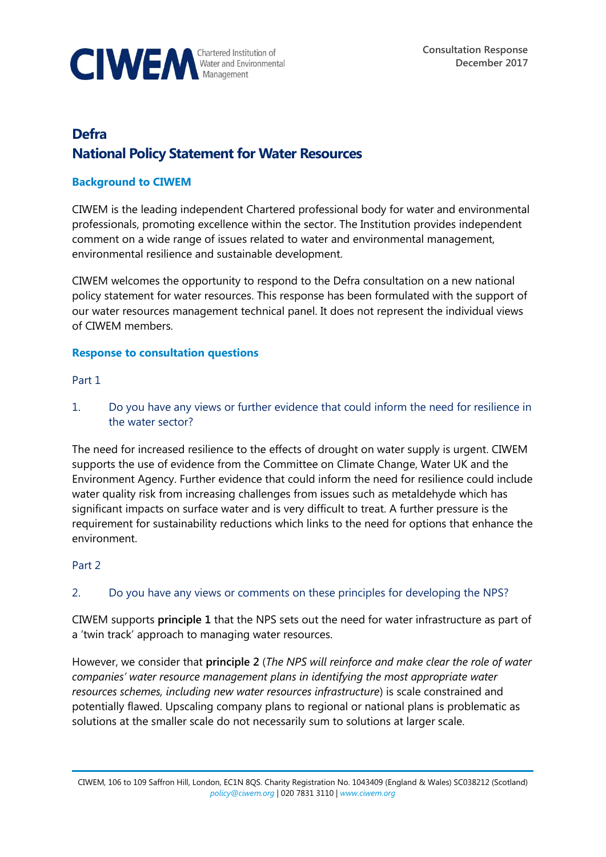

# **Defra National Policy Statement for Water Resources**

## **Background to CIWEM**

CIWEM is the leading independent Chartered professional body for water and environmental professionals, promoting excellence within the sector. The Institution provides independent comment on a wide range of issues related to water and environmental management, environmental resilience and sustainable development.

CIWEM welcomes the opportunity to respond to the Defra consultation on a new national policy statement for water resources. This response has been formulated with the support of our water resources management technical panel. It does not represent the individual views of CIWEM members.

## **Response to consultation questions**

#### Part 1

1. Do you have any views or further evidence that could inform the need for resilience in the water sector?

The need for increased resilience to the effects of drought on water supply is urgent. CIWEM supports the use of evidence from the Committee on Climate Change, Water UK and the Environment Agency. Further evidence that could inform the need for resilience could include water quality risk from increasing challenges from issues such as metaldehyde which has significant impacts on surface water and is very difficult to treat. A further pressure is the requirement for sustainability reductions which links to the need for options that enhance the environment.

## Part 2

## 2. Do you have any views or comments on these principles for developing the NPS?

CIWEM supports **principle 1** that the NPS sets out the need for water infrastructure as part of a 'twin track' approach to managing water resources.

However, we consider that **principle 2** (*The NPS will reinforce and make clear the role of water companies' water resource management plans in identifying the most appropriate water resources schemes, including new water resources infrastructure*) is scale constrained and potentially flawed. Upscaling company plans to regional or national plans is problematic as solutions at the smaller scale do not necessarily sum to solutions at larger scale.

CIWEM, 106 to 109 Saffron Hill, London, EC1N 8QS. Charity Registration No. 1043409 (England & Wales) SC038212 (Scotland) *[policy@ciwem.org](mailto:policy@ciwem.org)* | 020 7831 3110 | *[www.ciwem.org](http://www.ciwem.org/)*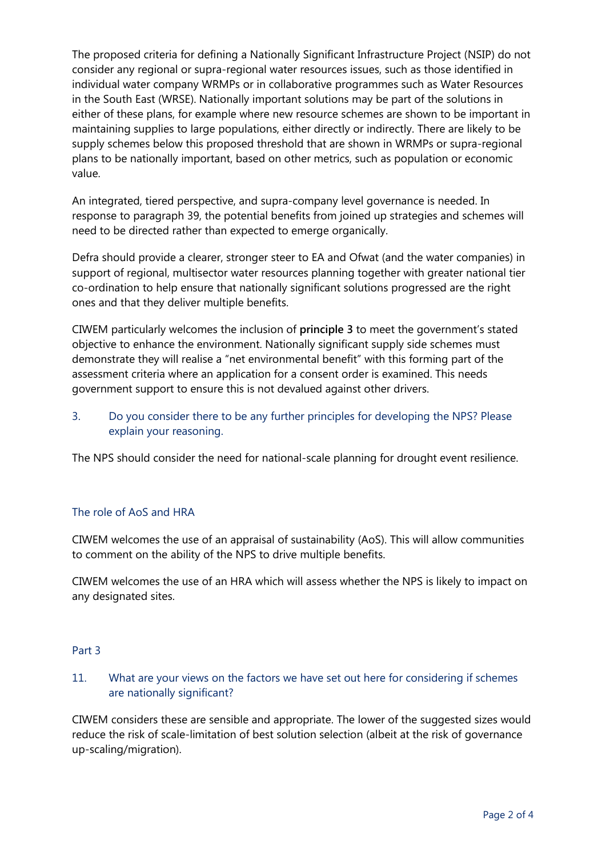The proposed criteria for defining a Nationally Significant Infrastructure Project (NSIP) do not consider any regional or supra-regional water resources issues, such as those identified in individual water company WRMPs or in collaborative programmes such as Water Resources in the South East (WRSE). Nationally important solutions may be part of the solutions in either of these plans, for example where new resource schemes are shown to be important in maintaining supplies to large populations, either directly or indirectly. There are likely to be supply schemes below this proposed threshold that are shown in WRMPs or supra-regional plans to be nationally important, based on other metrics, such as population or economic value.

An integrated, tiered perspective, and supra-company level governance is needed. In response to paragraph 39, the potential benefits from joined up strategies and schemes will need to be directed rather than expected to emerge organically.

Defra should provide a clearer, stronger steer to EA and Ofwat (and the water companies) in support of regional, multisector water resources planning together with greater national tier co-ordination to help ensure that nationally significant solutions progressed are the right ones and that they deliver multiple benefits.

CIWEM particularly welcomes the inclusion of **principle 3** to meet the government's stated objective to enhance the environment. Nationally significant supply side schemes must demonstrate they will realise a "net environmental benefit" with this forming part of the assessment criteria where an application for a consent order is examined. This needs government support to ensure this is not devalued against other drivers.

# 3. Do you consider there to be any further principles for developing the NPS? Please explain your reasoning.

The NPS should consider the need for national-scale planning for drought event resilience.

# The role of AoS and HRA

CIWEM welcomes the use of an appraisal of sustainability (AoS). This will allow communities to comment on the ability of the NPS to drive multiple benefits.

CIWEM welcomes the use of an HRA which will assess whether the NPS is likely to impact on any designated sites.

## Part 3

# 11. What are your views on the factors we have set out here for considering if schemes are nationally significant?

CIWEM considers these are sensible and appropriate. The lower of the suggested sizes would reduce the risk of scale-limitation of best solution selection (albeit at the risk of governance up-scaling/migration).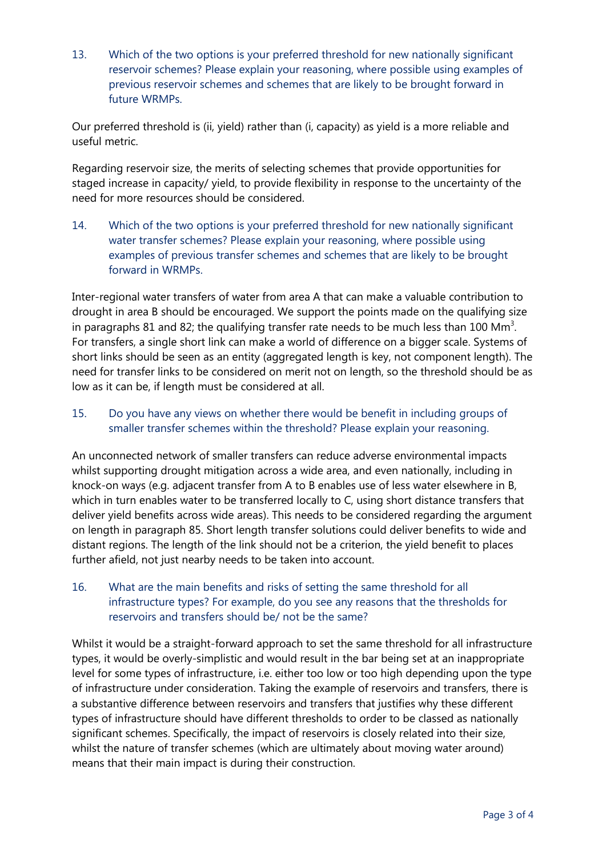13. Which of the two options is your preferred threshold for new nationally significant reservoir schemes? Please explain your reasoning, where possible using examples of previous reservoir schemes and schemes that are likely to be brought forward in future WRMPs.

Our preferred threshold is (ii, yield) rather than (i, capacity) as yield is a more reliable and useful metric.

Regarding reservoir size, the merits of selecting schemes that provide opportunities for staged increase in capacity/ yield, to provide flexibility in response to the uncertainty of the need for more resources should be considered.

14. Which of the two options is your preferred threshold for new nationally significant water transfer schemes? Please explain your reasoning, where possible using examples of previous transfer schemes and schemes that are likely to be brought forward in WRMPs.

Inter-regional water transfers of water from area A that can make a valuable contribution to drought in area B should be encouraged. We support the points made on the qualifying size in paragraphs 81 and 82; the qualifying transfer rate needs to be much less than 100  $\text{Mm}^3$ . For transfers, a single short link can make a world of difference on a bigger scale. Systems of short links should be seen as an entity (aggregated length is key, not component length). The need for transfer links to be considered on merit not on length, so the threshold should be as low as it can be, if length must be considered at all.

15. Do you have any views on whether there would be benefit in including groups of smaller transfer schemes within the threshold? Please explain your reasoning.

An unconnected network of smaller transfers can reduce adverse environmental impacts whilst supporting drought mitigation across a wide area, and even nationally, including in knock-on ways (e.g. adjacent transfer from A to B enables use of less water elsewhere in B, which in turn enables water to be transferred locally to C, using short distance transfers that deliver yield benefits across wide areas). This needs to be considered regarding the argument on length in paragraph 85. Short length transfer solutions could deliver benefits to wide and distant regions. The length of the link should not be a criterion, the yield benefit to places further afield, not just nearby needs to be taken into account.

16. What are the main benefits and risks of setting the same threshold for all infrastructure types? For example, do you see any reasons that the thresholds for reservoirs and transfers should be/ not be the same?

Whilst it would be a straight-forward approach to set the same threshold for all infrastructure types, it would be overly-simplistic and would result in the bar being set at an inappropriate level for some types of infrastructure, i.e. either too low or too high depending upon the type of infrastructure under consideration. Taking the example of reservoirs and transfers, there is a substantive difference between reservoirs and transfers that justifies why these different types of infrastructure should have different thresholds to order to be classed as nationally significant schemes. Specifically, the impact of reservoirs is closely related into their size, whilst the nature of transfer schemes (which are ultimately about moving water around) means that their main impact is during their construction.